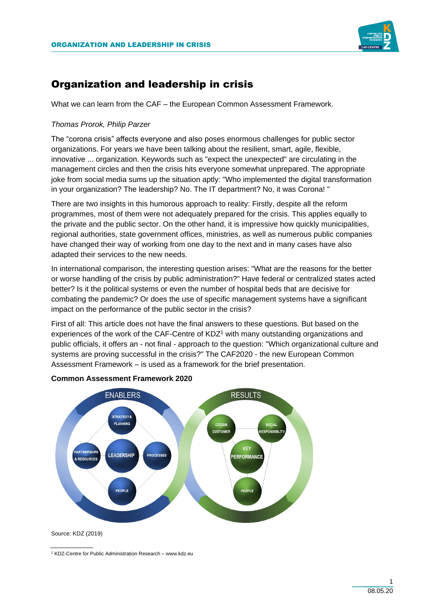

# Organization and leadership in crisis

What we can learn from the CAF – the European Common Assessment Framework.

# *Thomas Prorok, Philip Parzer*

The "corona crisis" affects everyone and also poses enormous challenges for public sector organizations. For years we have been talking about the resilient, smart, agile, flexible, innovative ... organization. Keywords such as "expect the unexpected" are circulating in the management circles and then the crisis hits everyone somewhat unprepared. The appropriate joke from social media sums up the situation aptly: "Who implemented the digital transformation in your organization? The leadership? No. The IT department? No, it was Corona! "

There are two insights in this humorous approach to reality: Firstly, despite all the reform programmes, most of them were not adequately prepared for the crisis. This applies equally to the private and the public sector. On the other hand, it is impressive how quickly municipalities, regional authorities, state government offices, ministries, as well as numerous public companies have changed their way of working from one day to the next and in many cases have also adapted their services to the new needs.

In international comparison, the interesting question arises: "What are the reasons for the better or worse handling of the crisis by public administration?" Have federal or centralized states acted better? Is it the political systems or even the number of hospital beds that are decisive for combating the pandemic? Or does the use of specific management systems have a significant impact on the performance of the public sector in the crisis?

First of all: This article does not have the final answers to these questions. But based on the experiences of the work of the CAF-Centre of KDZ<sup>1</sup> with many outstanding organizations and public officials, it offers an - not final - approach to the question: "Which organizational culture and systems are proving successful in the crisis?" The CAF2020 - the new European Common Assessment Framework – is used as a framework for the brief presentation.



**Common Assessment Framework 2020**

Source: KDZ (2019)

<sup>1</sup> KDZ-Centre for Public Administration Research – www.kdz.eu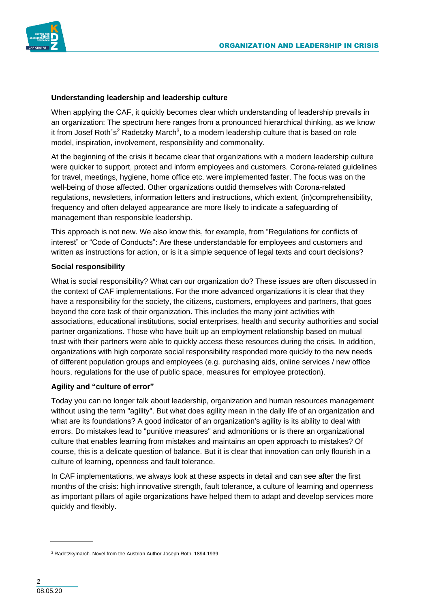

# **Understanding leadership and leadership culture**

When applying the CAF, it quickly becomes clear which understanding of leadership prevails in an organization: The spectrum here ranges from a pronounced hierarchical thinking, as we know it from Josef Roth's<sup>2</sup> Radetzky March<sup>3</sup>, to a modern leadership culture that is based on role model, inspiration, involvement, responsibility and commonality.

At the beginning of the crisis it became clear that organizations with a modern leadership culture were quicker to support, protect and inform employees and customers. Corona-related guidelines for travel, meetings, hygiene, home office etc. were implemented faster. The focus was on the well-being of those affected. Other organizations outdid themselves with Corona-related regulations, newsletters, information letters and instructions, which extent, (in)comprehensibility, frequency and often delayed appearance are more likely to indicate a safeguarding of management than responsible leadership.

This approach is not new. We also know this, for example, from "Regulations for conflicts of interest" or "Code of Conducts": Are these understandable for employees and customers and written as instructions for action, or is it a simple sequence of legal texts and court decisions?

## **Social responsibility**

What is social responsibility? What can our organization do? These issues are often discussed in the context of CAF implementations. For the more advanced organizations it is clear that they have a responsibility for the society, the citizens, customers, employees and partners, that goes beyond the core task of their organization. This includes the many joint activities with associations, educational institutions, social enterprises, health and security authorities and social partner organizations. Those who have built up an employment relationship based on mutual trust with their partners were able to quickly access these resources during the crisis. In addition, organizations with high corporate social responsibility responded more quickly to the new needs of different population groups and employees (e.g. purchasing aids, online services / new office hours, regulations for the use of public space, measures for employee protection).

# **Agility and "culture of error"**

Today you can no longer talk about leadership, organization and human resources management without using the term "agility". But what does agility mean in the daily life of an organization and what are its foundations? A good indicator of an organization's agility is its ability to deal with errors. Do mistakes lead to "punitive measures" and admonitions or is there an organizational culture that enables learning from mistakes and maintains an open approach to mistakes? Of course, this is a delicate question of balance. But it is clear that innovation can only flourish in a culture of learning, openness and fault tolerance.

In CAF implementations, we always look at these aspects in detail and can see after the first months of the crisis: high innovative strength, fault tolerance, a culture of learning and openness as important pillars of agile organizations have helped them to adapt and develop services more quickly and flexibly.

<sup>&</sup>lt;sup>3</sup> Radetzkymarch. Novel from the Austrian Author Joseph Roth, 1894-1939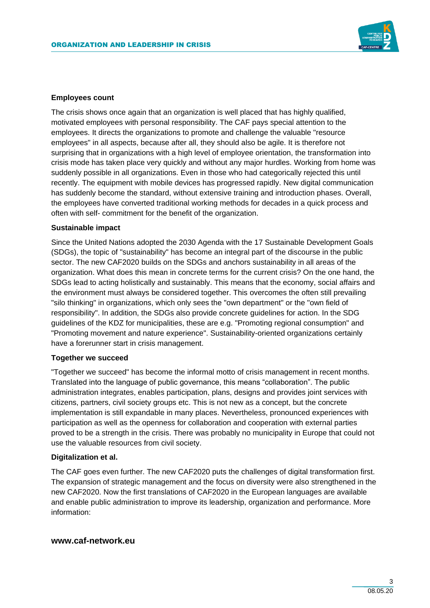

## **Employees count**

The crisis shows once again that an organization is well placed that has highly qualified, motivated employees with personal responsibility. The CAF pays special attention to the employees. It directs the organizations to promote and challenge the valuable "resource employees" in all aspects, because after all, they should also be agile. It is therefore not surprising that in organizations with a high level of employee orientation, the transformation into crisis mode has taken place very quickly and without any major hurdles. Working from home was suddenly possible in all organizations. Even in those who had categorically rejected this until recently. The equipment with mobile devices has progressed rapidly. New digital communication has suddenly become the standard, without extensive training and introduction phases. Overall, the employees have converted traditional working methods for decades in a quick process and often with self- commitment for the benefit of the organization.

#### **Sustainable impact**

Since the United Nations adopted the 2030 Agenda with the 17 Sustainable Development Goals (SDGs), the topic of "sustainability" has become an integral part of the discourse in the public sector. The new CAF2020 builds on the SDGs and anchors sustainability in all areas of the organization. What does this mean in concrete terms for the current crisis? On the one hand, the SDGs lead to acting holistically and sustainably. This means that the economy, social affairs and the environment must always be considered together. This overcomes the often still prevailing "silo thinking" in organizations, which only sees the "own department" or the "own field of responsibility". In addition, the SDGs also provide concrete guidelines for action. In the SDG guidelines of the KDZ for municipalities, these are e.g. "Promoting regional consumption" and "Promoting movement and nature experience". Sustainability-oriented organizations certainly have a forerunner start in crisis management.

#### **Together we succeed**

"Together we succeed" has become the informal motto of crisis management in recent months. Translated into the language of public governance, this means "collaboration". The public administration integrates, enables participation, plans, designs and provides joint services with citizens, partners, civil society groups etc. This is not new as a concept, but the concrete implementation is still expandable in many places. Nevertheless, pronounced experiences with participation as well as the openness for collaboration and cooperation with external parties proved to be a strength in the crisis. There was probably no municipality in Europe that could not use the valuable resources from civil society.

#### **Digitalization et al.**

The CAF goes even further. The new CAF2020 puts the challenges of digital transformation first. The expansion of strategic management and the focus on diversity were also strengthened in the new CAF2020. Now the first translations of CAF2020 in the European languages are available and enable public administration to improve its leadership, organization and performance. More information:

## **www.caf-network.eu**